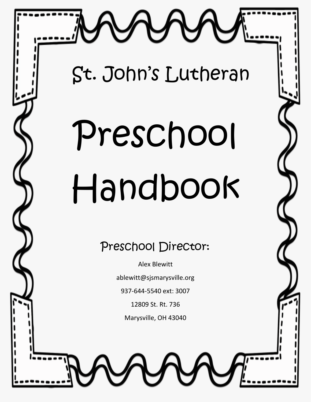

St. John's Lutheran

# Preschool Handbook

Preschool Director:

Alex Blewitt

ablewitt@sjsmarysville.org

937-644-5540 ext: 3007

12809 St. Rt. 736

Marysville, OH 43040

1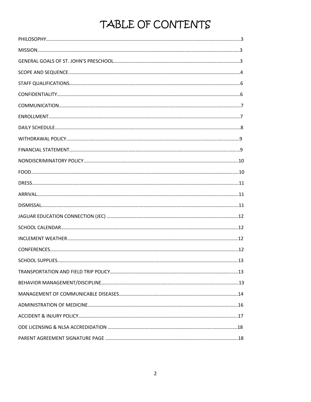## TABLE OF CONTENTS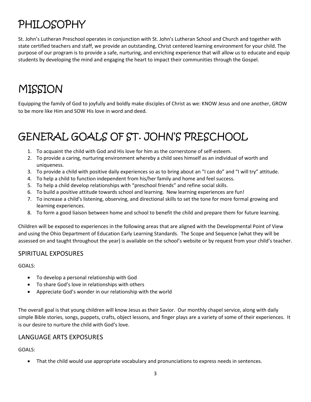# PHILOSOPHY

St. John's Lutheran Preschool operates in conjunction with St. John's Lutheran School and Church and together with state certified teachers and staff, we provide an outstanding, Christ centered learning environment for your child. The purpose of our program is to provide a safe, nurturing, and enriching experience that will allow us to educate and equip students by developing the mind and engaging the heart to impact their communities through the Gospel.

# MISSION

Equipping the family of God to joyfully and boldly make disciples of Christ as we: KNOW Jesus and one another, GROW to be more like Him and SOW His love in word and deed.

# GENERAL GOALS OF ST. JOHN'S PRESCHOOL

- 1. To acquaint the child with God and His love for him as the cornerstone of self-esteem.
- 2. To provide a caring, nurturing environment whereby a child sees himself as an individual of worth and uniqueness.
- 3. To provide a child with positive daily experiences so as to bring about an "I can do" and "I will try" attitude.
- 4. To help a child to function independent from his/her family and home and feel success.
- 5. To help a child develop relationships with "preschool friends" and refine social skills.
- 6. To build a positive attitude towards school and learning. New learning experiences are fun!
- 7. To increase a child's listening, observing, and directional skills to set the tone for more formal growing and learning experiences.
- 8. To form a good liaison between home and school to benefit the child and prepare them for future learning.

Children will be exposed to experiences in the following areas that are aligned with the Developmental Point of View and using the Ohio Department of Education Early Learning Standards. The Scope and Sequence (what they will be assessed on and taught throughout the year) is available on the school's website or by request from your child's teacher.

### SPIRITUAL EXPOSURES

GOALS:

- To develop a personal relationship with God
- To share God's love in relationships with others
- Appreciate God's wonder in our relationship with the world

The overall goal is that young children will know Jesus as their Savior. Our monthly chapel service, along with daily simple Bible stories, songs, puppets, crafts, object lessons, and finger plays are a variety of some of their experiences. It is our desire to nurture the child with God's love.

### LANGUAGE ARTS EXPOSURES

GOALS:

That the child would use appropriate vocabulary and pronunciations to express needs in sentences.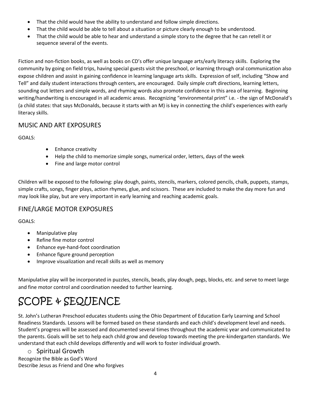- That the child would have the ability to understand and follow simple directions.
- That the child would be able to tell about a situation or picture clearly enough to be understood.
- That the child would be able to hear and understand a simple story to the degree that he can retell it or sequence several of the events.

Fiction and non-fiction books, as well as books on CD's offer unique language arts/early literacy skills. Exploring the community by going on field trips, having special guests visit the preschool, or learning through oral communication also expose children and assist in gaining confidence in learning language arts skills. Expression of self, including "Show and Tell" and daily student interactions through centers, are encouraged. Daily simple craft directions, learning letters, sounding out letters and simple words, and rhyming words also promote confidence in this area of learning. Beginning writing/handwriting is encouraged in all academic areas. Recognizing "environmental print" i.e. - the sign of McDonald's (a child states: that says McDonalds, because it starts with an M) is key in connecting the child's experiences with early literacy skills.

### MUSIC AND ART EXPOSURES

GOALS:

- Enhance creativity
- Help the child to memorize simple songs, numerical order, letters, days of the week
- Fine and large motor control

Children will be exposed to the following: play dough, paints, stencils, markers, colored pencils, chalk, puppets, stamps, simple crafts, songs, finger plays, action rhymes, glue, and scissors. These are included to make the day more fun and may look like play, but are very important in early learning and reaching academic goals.

### FINE/LARGE MOTOR EXPOSURES

GOALS:

- Manipulative play
- Refine fine motor control
- Enhance eye-hand-foot coordination
- Enhance figure ground perception
- Improve visualization and recall skills as well as memory

Manipulative play will be incorporated in puzzles, stencils, beads, play dough, pegs, blocks, etc. and serve to meet large and fine motor control and coordination needed to further learning.

# SCOPE & SEQUENCE

St. John's Lutheran Preschool educates students using the Ohio Department of Education Early Learning and School Readiness Standards. Lessons will be formed based on these standards and each child's development level and needs. Student's progress will be assessed and documented several times throughout the academic year and communicated to the parents. Goals will be set to help each child grow and develop towards meeting the pre-kindergarten standards. We understand that each child develops differently and will work to foster individual growth.

### o Spiritual Growth

Recognize the Bible as God's Word Describe Jesus as Friend and One who forgives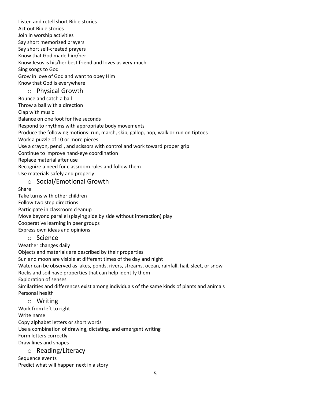Listen and retell short Bible stories Act out Bible stories Join in worship activities Say short memorized prayers Say short self-created prayers Know that God made him/her Know Jesus is his/her best friend and loves us very much Sing songs to God Grow in love of God and want to obey Him Know that God is everywhere

### o Physical Growth

Bounce and catch a ball Throw a ball with a direction Clap with music Balance on one foot for five seconds Respond to rhythms with appropriate body movements Produce the following motions: run, march, skip, gallop, hop, walk or run on tiptoes Work a puzzle of 10 or more pieces Use a crayon, pencil, and scissors with control and work toward proper grip Continue to improve hand-eye coordination Replace material after use Recognize a need for classroom rules and follow them Use materials safely and properly

o Social/Emotional Growth

Share

Take turns with other children Follow two step directions Participate in classroom cleanup Move beyond parallel (playing side by side without interaction) play Cooperative learning in peer groups Express own ideas and opinions

### o Science

Weather changes daily

Objects and materials are described by their properties Sun and moon are visible at different times of the day and night Water can be observed as lakes, ponds, rivers, streams, ocean, rainfall, hail, sleet, or snow Rocks and soil have properties that can help identify them Exploration of senses Similarities and differences exist among individuals of the same kinds of plants and animals Personal health

### o Writing

Work from left to right Write name Copy alphabet letters or short words Use a combination of drawing, dictating, and emergent writing Form letters correctly Draw lines and shapes

### o Reading/Literacy

Sequence events Predict what will happen next in a story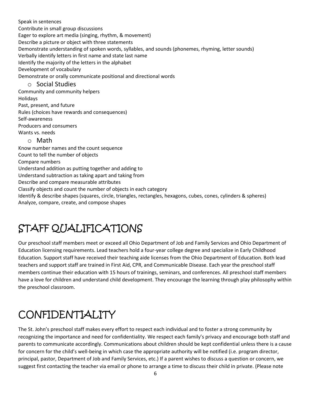Speak in sentences Contribute in small group discussions Eager to explore art media (singing, rhythm, & movement) Describe a picture or object with three statements Demonstrate understanding of spoken words, syllables, and sounds (phonemes, rhyming, letter sounds) Verbally identify letters in first name and state last name Identify the majority of the letters in the alphabet Development of vocabulary Demonstrate or orally communicate positional and directional words o Social Studies Community and community helpers Holidays Past, present, and future Rules (choices have rewards and consequences) Self-awareness Producers and consumers Wants vs. needs o Math Know number names and the count sequence Count to tell the number of objects Compare numbers Understand addition as putting together and adding to Understand subtraction as taking apart and taking from Describe and compare measurable attributes Classify objects and count the number of objects in each category Identify & describe shapes (squares, circle, triangles, rectangles, hexagons, cubes, cones, cylinders & spheres) Analyze, compare, create, and compose shapes

## STAFF QUALIFICATIONS

Our preschool staff members meet or exceed all Ohio Department of Job and Family Services and Ohio Department of Education licensing requirements. Lead teachers hold a four-year college degree and specialize in Early Childhood Education. Support staff have received their teaching aide licenses from the Ohio Department of Education. Both lead teachers and support staff are trained in First Aid, CPR, and Communicable Disease. Each year the preschool staff members continue their education with 15 hours of trainings, seminars, and conferences. All preschool staff members have a love for children and understand child development. They encourage the learning through play philosophy within the preschool classroom.

# CONFIDENTIALITY

The St. John's preschool staff makes every effort to respect each individual and to foster a strong community by recognizing the importance and need for confidentiality. We respect each family's privacy and encourage both staff and parents to communicate accordingly. Communications about children should be kept confidential unless there is a cause for concern for the child's well-being in which case the appropriate authority will be notified (i.e. program director, principal, pastor, Department of Job and Family Services, etc.) If a parent wishes to discuss a question or concern, we suggest first contacting the teacher via email or phone to arrange a time to discuss their child in private. (Please note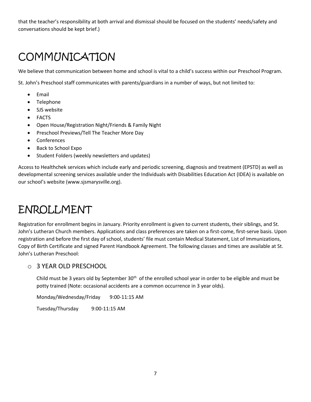that the teacher's responsibility at both arrival and dismissal should be focused on the students' needs/safety and conversations should be kept brief.)

# **COMMUNICATION**

We believe that communication between home and school is vital to a child's success within our Preschool Program.

St. John's Preschool staff communicates with parents/guardians in a number of ways, but not limited to:

- Email
- Telephone
- SJS website
- FACTS
- Open House/Registration Night/Friends & Family Night
- Preschool Previews/Tell The Teacher More Day
- Conferences
- Back to School Expo
- Student Folders (weekly newsletters and updates)

Access to Healthchek services which include early and periodic screening, diagnosis and treatment (EPSTD) as well as developmental screening services available under the Individuals with Disabilities Education Act (IDEA) is available on our school's website (www.sjsmarysville.org).

### ENROLLMENT

Registration for enrollment begins in January. Priority enrollment is given to current students, their siblings, and St. John's Lutheran Church members. Applications and class preferences are taken on a first-come, first-serve basis. Upon registration and before the first day of school, students' file must contain Medical Statement, List of Immunizations, Copy of Birth Certificate and signed Parent Handbook Agreement. The following classes and times are available at St. John's Lutheran Preschool:

### o 3 YEAR OLD PRESCHOOL

Child must be 3 years old by September  $30<sup>th</sup>$  of the enrolled school year in order to be eligible and must be potty trained (Note: occasional accidents are a common occurrence in 3 year olds).

Monday/Wednesday/Friday 9:00-11:15 AM

Tuesday/Thursday 9:00-11:15 AM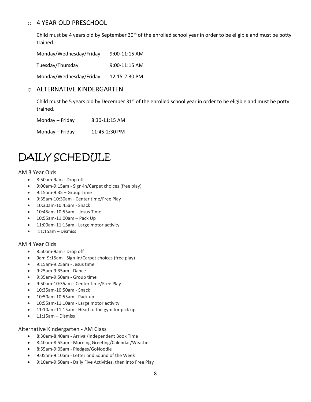### o 4 YEAR OLD PRESCHOOL

Child must be 4 years old by September  $30<sup>th</sup>$  of the enrolled school year in order to be eligible and must be potty trained.

Monday/Wednesday/Friday 9:00-11:15 AM Tuesday/Thursday 9:00-11:15 AM Monday/Wednesday/Friday 12:15-2:30 PM

### o ALTERNATIVE KINDERGARTEN

Child must be 5 years old by December 31<sup>st</sup> of the enrolled school year in order to be eligible and must be potty trained.

Monday – Friday 8:30-11:15 AM

Monday – Friday 11:45-2:30 PM

## DAILY SCHEDULE

#### AM 3 Year Olds

- 8:50am-9am Drop off
- 9:00am-9:15am Sign-in/Carpet choices (free play)
- 9:15am-9:35 Group Time
- 9:35am-10:30am Center time/Free Play
- 10:30am-10:45am Snack
- 10:45am-10:55am Jesus Time
- 10:55am-11:00am Pack Up
- 11:00am-11:15am Large motor activity
- $\bullet$  11:15am Dismiss

#### AM 4 Year Olds

- 8:50am-9am Drop off
- 9am-9:15am Sign-in/Carpet choices (free play)
- 9:15am-9:25am Jesus time
- 9:25am-9:35am Dance
- 9:35am-9:50am Group time
- 9:50am-10:35am Center time/Free Play
- 10:35am-10:50am Snack
- 10:50am-10:55am Pack up
- 10:55am-11:10am Large motor activity
- 11:10am-11:15am Head to the gym for pick up
- 11:15am Dismiss

#### Alternative Kindergarten - AM Class

- 8:30am-8:40am Arrival/Independent Book Time
- 8:40am-8:55am Morning Greeting/Calendar/Weather
- 8:55am-9:05am Pledges/GoNoodle
- 9:05am-9:10am Letter and Sound of the Week
- 9:10am-9:50am Daily Five Activities, then into Free Play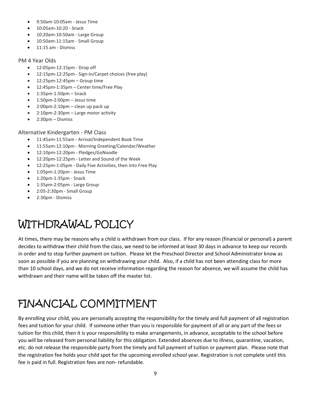- 9:50am-10:05am Jesus Time
- 10:05am-10:20 Snack
- 10:20am-10:50am Large Group
- 10:50am-11:15am Small Group
- 11:15 am Dismiss

#### PM 4 Year Olds

- 12:05pm-12:15pm Drop off
- 12:15pm-12:25pm Sign-in/Carpet choices (free play)
- 12:25pm-12:45pm Group time
- 12:45pm-1:35pm Center time/Free Play
- 1:35pm-1:50pm Snack
- 1:50pm-2:00pm Jesus time
- 2:00pm-2:10pm clean up pack up
- 2:10pm-2:30pm Large motor activity
- 2:30pm Dismiss

### Alternative Kindergarten - PM Class

- 11:45am-11:55am Arrival/Independent Book Time
- 11:55am-12:10pm Morning Greeting/Calendar/Weather
- 12:10pm-12:20pm Pledges/GoNoodle
- 12:20pm-12:25pm Letter and Sound of the Week
- 12:25pm-1:05pm Daily Five Activities, then into Free Play
- 1:05pm-1:20pm Jesus Time
- 1:20pm-1:35pm Snack
- 1:35pm-2:05pm Large Group
- 2:05-2:30pm Small Group
- 2:30pm Dismiss

# WITHDRAWAL POLICY

At times, there may be reasons why a child is withdrawn from our class. If for any reason (financial or personal) a parent decides to withdraw their child from the class, we need to be informed at least 30 days in advance to keep our records in order and to stop further payment on tuition. Please let the Preschool Director and School Administrator know as soon as possible if you are planning on withdrawing your child. Also, if a child has not been attending class for more than 10 school days, and we do not receive information regarding the reason for absence, we will assume the child has withdrawn and their name will be taken off the master list.

# FINANCIAL COMMITMENT

By enrolling your child, you are personally accepting the responsibility for the timely and full payment of all registration fees and tuition for your child. If someone other than you is responsible for payment of all or any part of the fees or tuition for this child, then it is your responsibility to make arrangements, in advance, acceptable to the school before you will be released from personal liability for this obligation. Extended absences due to illness, quarantine, vacation, etc. do not release the responsible party from the timely and full payment of tuition or payment plan. Please note that the registration fee holds your child spot for the upcoming enrolled school year. Registration is not complete until this fee is paid in full. Registration fees are non- refundable.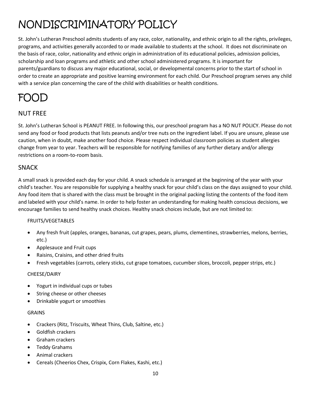# NONDISCRIMINATORY POLICY

St. John's Lutheran Preschool admits students of any race, color, nationality, and ethnic origin to all the rights, privileges, programs, and activities generally accorded to or made available to students at the school. It does not discriminate on the basis of race, color, nationality and ethnic origin in administration of its educational policies, admission policies, scholarship and loan programs and athletic and other school administered programs. It is important for parents/guardians to discuss any major educational, social, or developmental concerns prior to the start of school in order to create an appropriate and positive learning environment for each child. Our Preschool program serves any child with a service plan concerning the care of the child with disabilities or health conditions.

### FOOD

### NUT FREE

St. John's Lutheran School is PEANUT FREE. In following this, our preschool program has a NO NUT POLICY. Please do not send any food or food products that lists peanuts and/or tree nuts on the ingredient label. If you are unsure, please use caution, when in doubt, make another food choice. Please respect individual classroom policies as student allergies change from year to year. Teachers will be responsible for notifying families of any further dietary and/or allergy restrictions on a room-to-room basis.

### **SNACK**

A small snack is provided each day for your child. A snack schedule is arranged at the beginning of the year with your child's teacher. You are responsible for supplying a healthy snack for your child's class on the days assigned to your child. Any food item that is shared with the class must be brought in the original packing listing the contents of the food item and labeled with your child's name. In order to help foster an understanding for making health conscious decisions, we encourage families to send healthy snack choices. Healthy snack choices include, but are not limited to:

### FRUITS/VEGETABLES

- Any fresh fruit (apples, oranges, bananas, cut grapes, pears, plums, clementines, strawberries, melons, berries, etc.)
- Applesauce and Fruit cups
- Raisins, Craisins, and other dried fruits
- Fresh vegetables (carrots, celery sticks, cut grape tomatoes, cucumber slices, broccoli, pepper strips, etc.)

### CHEESE/DAIRY

- Yogurt in individual cups or tubes
- String cheese or other cheeses
- Drinkable yogurt or smoothies

### GRAINS

- Crackers (Ritz, Triscuits, Wheat Thins, Club, Saltine, etc.)
- Goldfish crackers
- Graham crackers
- Teddy Grahams
- Animal crackers
- Cereals (Cheerios Chex, Crispix, Corn Flakes, Kashi, etc.)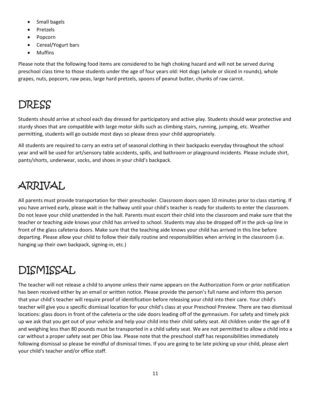- Small bagels
- Pretzels
- Popcorn
- Cereal/Yogurt bars
- Muffins

Please note that the following food items are considered to be high choking hazard and will not be served during preschool class time to those students under the age of four years old: Hot dogs (whole or sliced in rounds), whole grapes, nuts, popcorn, raw peas, large hard pretzels, spoons of peanut butter, chunks of raw carrot.

# DRESS

Students should arrive at school each day dressed for participatory and active play. Students should wear protective and sturdy shoes that are compatible with large motor skills such as climbing stairs, running, jumping, etc. Weather permitting, students will go outside most days so please dress your child appropriately.

All students are required to carry an extra set of seasonal clothing in their backpacks everyday throughout the school year and will be used for art/sensory table accidents, spills, and bathroom or playground incidents. Please include shirt, pants/shorts, underwear, socks, and shoes in your child's backpack.

# ARRIVAL

All parents must provide transportation for their preschooler. Classroom doors open 10 minutes prior to class starting. If you have arrived early, please wait in the hallway until your child's teacher is ready for students to enter the classroom. Do not leave your child unattended in the hall. Parents must escort their child into the classroom and make sure that the teacher or teaching aide knows your child has arrived to school. Students may also be dropped off in the pick-up line in front of the glass cafeteria doors. Make sure that the teaching aide knows your child has arrived in this line before departing. Please allow your child to follow their daily routine and responsibilities when arriving in the classroom (i.e. hanging up their own backpack, signing-in, etc.)

# DISMISSAL

The teacher will not release a child to anyone unless their name appears on the Authorization Form or prior notification has been received either by an email or written notice. Please provide the person's full name and inform this person that your child's teacher will require proof of identification before releasing your child into their care. Your child's teacher will give you a specific dismissal location for your child's class at your Preschool Preview. There are two dismissal locations: glass doors in front of the cafeteria or the side doors leading off of the gymnasium. For safety and timely pick up we ask that you get out of your vehicle and help your child into their child safety seat. All children under the age of 8 and weighing less than 80 pounds must be transported in a child safety seat. We are not permitted to allow a child into a car without a proper safety seat per Ohio law. Please note that the preschool staff has responsibilities immediately following dismissal so please be mindful of dismissal times. If you are going to be late picking up your child, please alert your child's teacher and/or office staff.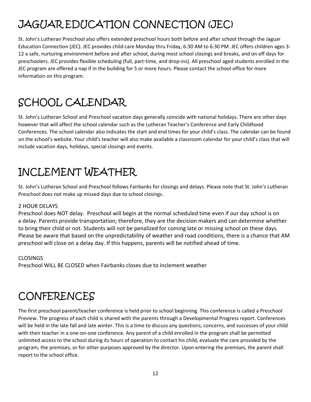# JAGUAR EDUCATION CONNECTION (JEC)

St. John's Lutheran Preschool also offers extended preschool hours both before and after school through the Jaguar Education Connection (JEC). JEC provides child care Monday thru Friday, 6:30 AM to 6:30 PM. JEC offers children ages 3- 12 a safe, nurturing environment before and after school, during most school closings and breaks, and on off days for preschoolers. JEC provides flexible scheduling (full, part-time, and drop-ins). All preschool aged students enrolled in the JEC program are offered a nap if in the building for 5 or more hours. Please contact the school office for more information on this program.

# SCHOOL CALENDAR

St. John's Lutheran School and Preschool vacation days generally coincide with national holidays. There are other days however that will affect the school calendar such as the Lutheran Teacher's Conference and Early Childhood Conferences. The school calendar also indicates the start and end times for your child's class. The calendar can be found on the school's website. Your child's teacher will also make available a classroom calendar for your child's class that will include vacation days, holidays, special closings and events.

# INCLEMENT WEATHER

St. John's Lutheran School and Preschool follows Fairbanks for closings and delays. Please note that St. John's Lutheran Preschool does not make up missed days due to school closings.

### 2 HOUR DELAYS

Preschool does NOT delay. Preschool will begin at the normal scheduled time even if our day school is on a delay. Parents provide transportation; therefore, they are the decision makers and can determine whether to bring their child or not. Students will not be penalized for coming late or missing school on these days. Please be aware that based on the unpredictability of weather and road conditions, there is a chance that AM preschool will close on a delay day. If this happens, parents will be notified ahead of time.

### CLOSINGS

Preschool WILL BE CLOSED when Fairbanks closes due to inclement weather

# **CONFERENCES**

The first preschool parent/teacher conference is held prior to school beginning. This conference is called a Preschool Preview. The progress of each child is shared with the parents through a Developmental Progress report. Conferences will be held in the late fall and late winter. This is a time to discuss any questions, concerns, and successes of your child with their teacher in a one-on-one conference. Any parent of a child enrolled in the program shall be permitted unlimited access to the school during its hours of operation to contact his child, evaluate the care provided by the program, the premises, or for other purposes approved by the director. Upon entering the premises, the parent shall report to the school office.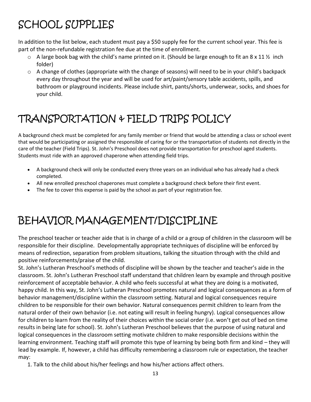# SCHOOL SUPPLIES

In addition to the list below, each student must pay a \$50 supply fee for the current school year. This fee is part of the non-refundable registration fee due at the time of enrollment.

- $\circ$  A large book bag with the child's name printed on it. (Should be large enough to fit an 8 x 11 % inch folder)
- $\circ$  A change of clothes (appropriate with the change of seasons) will need to be in your child's backpack every day throughout the year and will be used for art/paint/sensory table accidents, spills, and bathroom or playground incidents. Please include shirt, pants/shorts, underwear, socks, and shoes for your child.

# TRANSPORTATION & FIELD TRIPS POLICY

A background check must be completed for any family member or friend that would be attending a class or school event that would be participating or assigned the responsible of caring for or the transportation of students not directly in the care of the teacher (Field Trips). St. John's Preschool does not provide transportation for preschool aged students. Students must ride with an approved chaperone when attending field trips.

- A background check will only be conducted every three years on an individual who has already had a check completed.
- All new enrolled preschool chaperones must complete a background check before their first event.
- The fee to cover this expense is paid by the school as part of your registration fee.

## BEHAVIOR MANAGEMENT/DISCIPLINE

The preschool teacher or teacher aide that is in charge of a child or a group of children in the classroom will be responsible for their discipline. Developmentally appropriate techniques of discipline will be enforced by means of redirection, separation from problem situations, talking the situation through with the child and positive reinforcements/praise of the child.

St. John's Lutheran Preschool's methods of discipline will be shown by the teacher and teacher's aide in the classroom. St. John's Lutheran Preschool staff understand that children learn by example and through positive reinforcement of acceptable behavior. A child who feels successful at what they are doing is a motivated, happy child. In this way, St. John's Lutheran Preschool promotes natural and logical consequences as a form of behavior management/discipline within the classroom setting. Natural and logical consequences require children to be responsible for their own behavior. Natural consequences permit children to learn from the natural order of their own behavior (i.e. not eating will result in feeling hungry). Logical consequences allow for children to learn from the reality of their choices within the social order (i.e. won't get out of bed on time results in being late for school). St. John's Lutheran Preschool believes that the purpose of using natural and logical consequences in the classroom setting motivate children to make responsible decisions within the learning environment. Teaching staff will promote this type of learning by being both firm and kind – they will lead by example. If, however, a child has difficulty remembering a classroom rule or expectation, the teacher may:

1. Talk to the child about his/her feelings and how his/her actions affect others.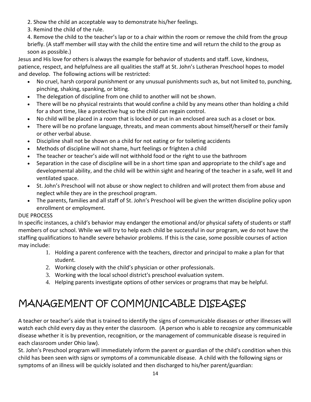- 2. Show the child an acceptable way to demonstrate his/her feelings.
- 3. Remind the child of the rule.

4. Remove the child to the teacher's lap or to a chair within the room or remove the child from the group briefly. (A staff member will stay with the child the entire time and will return the child to the group as soon as possible.)

Jesus and His love for others is always the example for behavior of students and staff. Love, kindness, patience, respect, and helpfulness are all qualities the staff at St. John's Lutheran Preschool hopes to model and develop. The following actions will be restricted:

- No cruel, harsh corporal punishment or any unusual punishments such as, but not limited to, punching, pinching, shaking, spanking, or biting.
- The delegation of discipline from one child to another will not be shown.
- There will be no physical restraints that would confine a child by any means other than holding a child for a short time, like a protective hug so the child can regain control.
- No child will be placed in a room that is locked or put in an enclosed area such as a closet or box.
- There will be no profane language, threats, and mean comments about himself/herself or their family or other verbal abuse.
- Discipline shall not be shown on a child for not eating or for toileting accidents
- Methods of discipline will not shame, hurt feelings or frighten a child
- The teacher or teacher's aide will not withhold food or the right to use the bathroom
- Separation in the case of discipline will be in a short time span and appropriate to the child's age and developmental ability, and the child will be within sight and hearing of the teacher in a safe, well lit and ventilated space.
- St. John's Preschool will not abuse or show neglect to children and will protect them from abuse and neglect while they are in the preschool program.
- The parents, families and all staff of St. John's Preschool will be given the written discipline policy upon enrollment or employment.

### DUE PROCESS

In specific instances, a child's behavior may endanger the emotional and/or physical safety of students or staff members of our school. While we will try to help each child be successful in our program, we do not have the staffing qualifications to handle severe behavior problems. If this is the case, some possible courses of action may include:

- 1. Holding a parent conference with the teachers, director and principal to make a plan for that student.
- 2. Working closely with the child's physician or other professionals.
- 3. Working with the local school district's preschool evaluation system.
- 4. Helping parents investigate options of other services or programs that may be helpful.

## MANAGEMENT OF COMMUNICABLE DISEASES

A teacher or teacher's aide that is trained to identify the signs of communicable diseases or other illnesses will watch each child every day as they enter the classroom. (A person who is able to recognize any communicable disease whether it is by prevention, recognition, or the management of communicable disease is required in each classroom under Ohio law).

St. John's Preschool program will immediately inform the parent or guardian of the child's condition when this child has been seen with signs or symptoms of a communicable disease. A child with the following signs or symptoms of an illness will be quickly isolated and then discharged to his/her parent/guardian: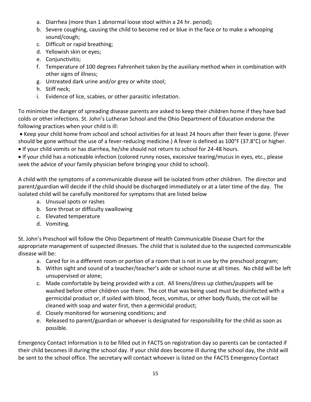- a. Diarrhea (more than 1 abnormal loose stool within a 24 hr. period);
- b. Severe coughing, causing the child to become red or blue in the face or to make a whooping sound/cough;
- c. Difficult or rapid breathing;
- d. Yellowish skin or eyes;
- e. Conjunctivitis;
- f. Temperature of 100 degrees Fahrenheit taken by the auxiliary method when in combination with other signs of illness;
- g. Untreated dark urine and/or grey or white stool;
- h. Stiff neck;
- i. Evidence of lice, scabies, or other parasitic infestation.

To minimize the danger of spreading disease parents are asked to keep their children home if they have bad colds or other infections. St. John's Lutheran School and the Ohio Department of Education endorse the following practices when your child is ill:

 Keep your child home from school and school activities for at least 24 hours after their fever is gone. (Fever should be gone without the use of a fever-reducing medicine.) A fever is defined as 100°F (37.8°C) or higher.

If your child vomits or has diarrhea, he/she should not return to school for 24-48 hours.

 If your child has a noticeable infection (colored runny noses, excessive tearing/mucus in eyes, etc., please seek the advice of your family physician before bringing your child to school).

A child with the symptoms of a communicable disease will be isolated from other children. The director and parent/guardian will decide if the child should be discharged immediately or at a later time of the day. The isolated child will be carefully monitored for symptoms that are listed below

- a. Unusual spots or rashes
- b. Sore throat or difficulty swallowing
- c. Elevated temperature
- d. Vomiting.

St. John's Preschool will follow the Ohio Department of Health Communicable Disease Chart for the appropriate management of suspected illnesses. The child that is isolated due to the suspected communicable disease will be:

- a. Cared for in a different room or portion of a room that is not in use by the preschool program;
- b. Within sight and sound of a teacher/teacher's aide or school nurse at all times. No child will be left unsupervised or alone;
- c. Made comfortable by being provided with a cot. All linens/dress up clothes/puppets will be washed before other children use them. The cot that was being used must be disinfected with a germicidal product or, if soiled with blood, feces, vomitus, or other body fluids, the cot will be cleaned with soap and water first, then a germicidal product;
- d. Closely monitored for worsening conditions; and
- e. Released to parent/guardian or whoever is designated for responsibility for the child as soon as possible.

Emergency Contact Information is to be filled out in FACTS on registration day so parents can be contacted if their child becomes ill during the school day. If your child does become ill during the school day, the child will be sent to the school office. The secretary will contact whoever is listed on the FACTS Emergency Contact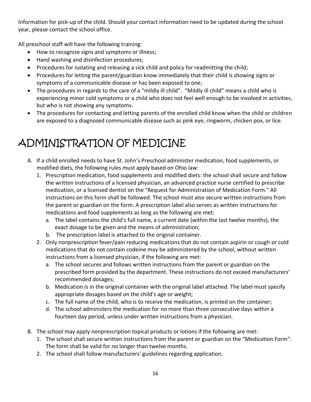Information for pick-up of the child. Should your contact information need to be updated during the school year, please contact the school office.

All preschool staff will have the following training:

- How to recognize signs and symptoms or illness;
- Hand washing and disinfection procedures;
- Procedures for isolating and releasing a sick child and policy for readmitting the child;
- Procedures for letting the parent/guardian know immediately that their child is showing signs or symptoms of a communicable disease or has been exposed to one;
- The procedures in regards to the care of a "mildly ill child". "Mildly ill child" means a child who is experiencing minor cold symptoms or a child who does not feel well enough to be involved in activities, but who is not showing any symptoms.
- The procedures for contacting and letting parents of the enrolled child know when the child or children are exposed to a diagnosed communicable disease such as pink eye, ringworm, chicken pox, or lice.

# ADMINISTRATION OF MEDICINE

- A. If a child enrolled needs to have St. John's Preschool administer medication, food supplements, or modified diets, the following rules must apply based on Ohio law:
	- 1. Prescription medication, food supplements and modified diets: the school shall secure and follow the written instructions of a licensed physician, an advanced practice nurse certified to prescribe medication, or a licensed dentist on the "Request for Administration of Medication Form." All instructions on this form shall be followed. The school must also secure written instructions from the parent or guardian on the form. A prescription label also serves as written instructions for medications and food supplements as long as the following are met:
		- a. The label contains the child's full name, a current date (within the last twelve months), the exact dosage to be given and the means of administration;
		- b. The prescription label is attached to the original container.
	- 2. Only nonprescription fever/pain reducing medications that do not contain aspirin or cough or cold medications that do not contain codeine may be administered by the school, without written instructions from a licensed physician, if the following are met:
		- a. The school secures and follows written instructions from the parent or guardian on the prescribed form provided by the department. These instructions do not exceed manufacturers' recommended dosages;
		- b. Medication is in the original container with the original label attached. The label must specify appropriate dosages based on the child's age or weight;
		- c. The full name of the child, who is to receive the medication, is printed on the container;
		- d. The school administers the medication for no more than three consecutive days within a fourteen day period, unless under written instructions from a physician.
- B. The school may apply nonprescription topical products or lotions if the following are met:
	- 1. The school shall secure written instructions from the parent or guardian on the "Medication Form". The form shall be valid for no longer than twelve months.
	- 2. The school shall follow manufacturers' guidelines regarding application.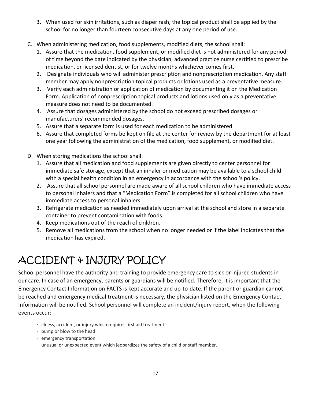- 3. When used for skin irritations, such as diaper rash, the topical product shall be applied by the school for no longer than fourteen consecutive days at any one period of use.
- C. When administering medication, food supplements, modified diets, the school shall:
	- 1. Assure that the medication, food supplement, or modified diet is not administered for any period of time beyond the date indicated by the physician, advanced practice nurse certified to prescribe medication, or licensed dentist, or for twelve months whichever comes first.
	- 2. Designate individuals who will administer prescription and nonprescription medication. Any staff member may apply nonprescription topical products or lotions used as a preventative measure.
	- 3. Verify each administration or application of medication by documenting it on the Medication Form. Application of nonprescription topical products and lotions used only as a preventative measure does not need to be documented.
	- 4. Assure that dosages administered by the school do not exceed prescribed dosages or manufacturers' recommended dosages.
	- 5. Assure that a separate form is used for each medication to be administered.
	- 6. Assure that completed forms be kept on file at the center for review by the department for at least one year following the administration of the medication, food supplement, or modified diet.
- D. When storing medications the school shall:
	- 1. Assure that all medication and food supplements are given directly to center personnel for immediate safe storage, except that an inhaler or medication may be available to a school child with a special health condition in an emergency in accordance with the school's policy.
	- 2. Assure that all school personnel are made aware of all school children who have immediate access to personal inhalers and that a "Medication Form" is completed for all school children who have immediate access to personal inhalers.
	- 3. Refrigerate medication as needed immediately upon arrival at the school and store in a separate container to prevent contamination with foods.
	- 4. Keep medications out of the reach of children.
	- 5. Remove all medications from the school when no longer needed or if the label indicates that the medication has expired.

# ACCIDENT & INJURY POLICY

School personnel have the authority and training to provide emergency care to sick or injured students in our care. In case of an emergency, parents or guardians will be notified. Therefore, it is important that the Emergency Contact Information on FACTS is kept accurate and up-to-date. If the parent or guardian cannot be reached and emergency medical treatment is necessary, the physician listed on the Emergency Contact Information will be notified. School personnel will complete an incident/injury report, when the following events occur:

- · illness, accident, or injury which requires first aid treatment
- · bump or blow to the head
- · emergency transportation
- · unusual or unexpected event which jeopardizes the safety of a child or staff member.